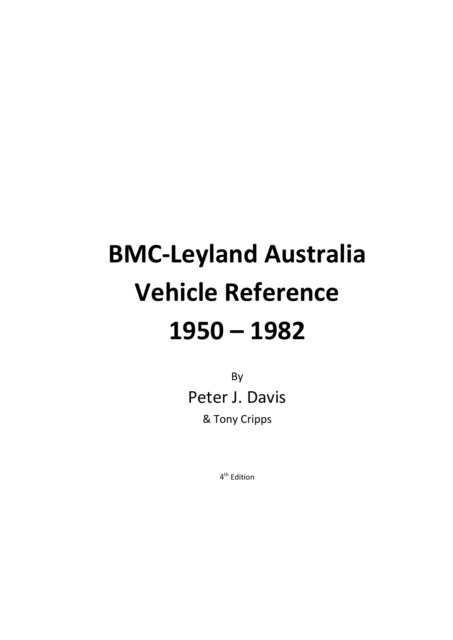# **BMC‐Leyland Australia Vehicle Reference 1950 – 1982**

By Peter J. Davis & Tony Cripps

4th Edition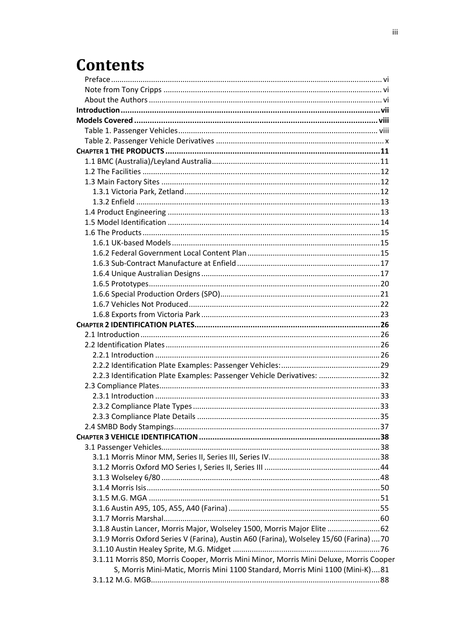# **Contents**

| 2.2.3 Identification Plate Examples: Passenger Vehicle Derivatives: 32                  |  |
|-----------------------------------------------------------------------------------------|--|
|                                                                                         |  |
|                                                                                         |  |
|                                                                                         |  |
|                                                                                         |  |
|                                                                                         |  |
|                                                                                         |  |
|                                                                                         |  |
|                                                                                         |  |
|                                                                                         |  |
|                                                                                         |  |
|                                                                                         |  |
|                                                                                         |  |
|                                                                                         |  |
|                                                                                         |  |
| 3.1.8 Austin Lancer, Morris Major, Wolseley 1500, Morris Major Elite 62                 |  |
| 3.1.9 Morris Oxford Series V (Farina), Austin A60 (Farina), Wolseley 15/60 (Farina)  70 |  |
|                                                                                         |  |
| 3.1.11 Morris 850, Morris Cooper, Morris Mini Minor, Morris Mini Deluxe, Morris Cooper  |  |
| S, Morris Mini-Matic, Morris Mini 1100 Standard, Morris Mini 1100 (Mini-K)81            |  |
|                                                                                         |  |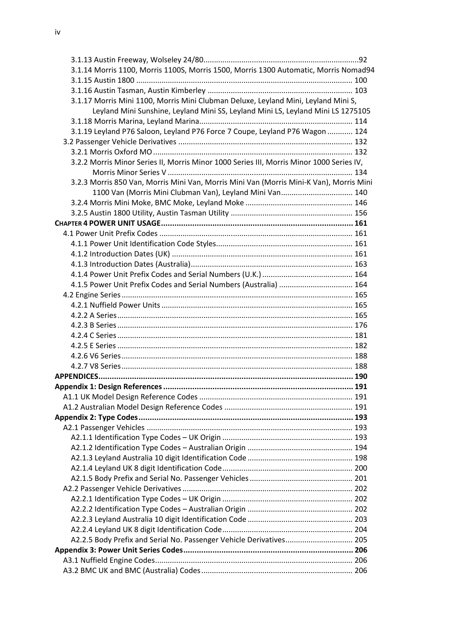iv

| 3.1.14 Morris 1100, Morris 1100S, Morris 1500, Morris 1300 Automatic, Morris Nomad94     |  |
|------------------------------------------------------------------------------------------|--|
|                                                                                          |  |
|                                                                                          |  |
| 3.1.17 Morris Mini 1100, Morris Mini Clubman Deluxe, Leyland Mini, Leyland Mini S,       |  |
| Leyland Mini Sunshine, Leyland Mini SS, Leyland Mini LS, Leyland Mini LS 1275105         |  |
|                                                                                          |  |
| 3.1.19 Leyland P76 Saloon, Leyland P76 Force 7 Coupe, Leyland P76 Wagon  124             |  |
|                                                                                          |  |
|                                                                                          |  |
| 3.2.2 Morris Minor Series II, Morris Minor 1000 Series III, Morris Minor 1000 Series IV, |  |
|                                                                                          |  |
| 3.2.3 Morris 850 Van, Morris Mini Van, Morris Mini Van (Morris Mini-K Van), Morris Mini  |  |
| 1100 Van (Morris Mini Clubman Van), Leyland Mini Van 140                                 |  |
|                                                                                          |  |
|                                                                                          |  |
|                                                                                          |  |
|                                                                                          |  |
|                                                                                          |  |
|                                                                                          |  |
|                                                                                          |  |
|                                                                                          |  |
| 4.1.5 Power Unit Prefix Codes and Serial Numbers (Australia)  164                        |  |
|                                                                                          |  |
|                                                                                          |  |
|                                                                                          |  |
|                                                                                          |  |
|                                                                                          |  |
|                                                                                          |  |
|                                                                                          |  |
|                                                                                          |  |
|                                                                                          |  |
|                                                                                          |  |
|                                                                                          |  |
|                                                                                          |  |
|                                                                                          |  |
|                                                                                          |  |
|                                                                                          |  |
|                                                                                          |  |
|                                                                                          |  |
|                                                                                          |  |
|                                                                                          |  |
|                                                                                          |  |
|                                                                                          |  |
|                                                                                          |  |
|                                                                                          |  |
|                                                                                          |  |
| A2.2.5 Body Prefix and Serial No. Passenger Vehicle Derivatives 205                      |  |
|                                                                                          |  |
|                                                                                          |  |
|                                                                                          |  |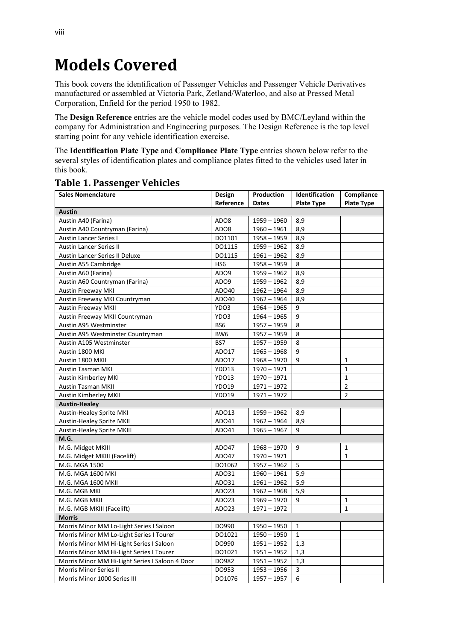## **Models Covered**

This book covers the identification of Passenger Vehicles and Passenger Vehicle Derivatives manufactured or assembled at Victoria Park, Zetland/Waterloo, and also at Pressed Metal Corporation, Enfield for the period 1950 to 1982.

The **Design Reference** entries are the vehicle model codes used by BMC/Leyland within the company for Administration and Engineering purposes. The Design Reference is the top level starting point for any vehicle identification exercise.

The **Identification Plate Type** and **Compliance Plate Type** entries shown below refer to the several styles of identification plates and compliance plates fitted to the vehicles used later in this book.

| <b>Sales Nomenclature</b>                       | Design            | Production    | Identification    | Compliance        |
|-------------------------------------------------|-------------------|---------------|-------------------|-------------------|
|                                                 | Reference         | Dates         | <b>Plate Type</b> | <b>Plate Type</b> |
| Austin                                          |                   |               |                   |                   |
| Austin A40 (Farina)                             | ADO8              | $1959 - 1960$ | 8,9               |                   |
| Austin A40 Countryman (Farina)                  | ADO8              | $1960 - 1961$ | 8,9               |                   |
| <b>Austin Lancer Series I</b>                   | DO1101            | $1958 - 1959$ | 8,9               |                   |
| <b>Austin Lancer Series II</b>                  | DO1115            | $1959 - 1962$ | 8,9               |                   |
| Austin Lancer Series II Deluxe                  | DO1115            | $1961 - 1962$ | 8,9               |                   |
| Austin A55 Cambridge                            | HS <sub>6</sub>   | $1958 - 1959$ | 8                 |                   |
| Austin A60 (Farina)                             | ADO9              | $1959 - 1962$ | 8,9               |                   |
| Austin A60 Countryman (Farina)                  | ADO9              | $1959 - 1962$ | 8,9               |                   |
| <b>Austin Freeway MKI</b>                       | ADO40             | $1962 - 1964$ | 8,9               |                   |
| Austin Freeway MKI Countryman                   | ADO40             | $1962 - 1964$ | 8,9               |                   |
| <b>Austin Freeway MKII</b>                      | YDO3              | $1964 - 1965$ | 9                 |                   |
| Austin Freeway MKII Countryman                  | YDO3              | $1964 - 1965$ | 9                 |                   |
| Austin A95 Westminster                          | BS <sub>6</sub>   | $1957 - 1959$ | 8                 |                   |
| Austin A95 Westminster Countryman               | BW6               | $1957 - 1959$ | 8                 |                   |
| Austin A105 Westminster                         | BS7               | $1957 - 1959$ | 8                 |                   |
| Austin 1800 MKI                                 | ADO17             | $1965 - 1968$ | $\mathsf{q}$      |                   |
| Austin 1800 MKII                                | ADO17             | $1968 - 1970$ | 9                 | 1                 |
| <b>Austin Tasman MKI</b>                        | <b>YDO13</b>      | $1970 - 1971$ |                   | $\mathbf{1}$      |
| Austin Kimberley MKI                            | <b>YDO13</b>      | $1970 - 1971$ |                   | $\mathbf{1}$      |
| <b>Austin Tasman MKII</b>                       | YDO19             | $1971 - 1972$ |                   | $\overline{2}$    |
| Austin Kimberley MKII                           | YDO19             | $1971 - 1972$ |                   | $\overline{2}$    |
| <b>Austin-Healey</b>                            |                   |               |                   |                   |
| Austin-Healey Sprite MKI                        | ADO13             | 1959 - 1962   | 8,9               |                   |
| <b>Austin-Healey Sprite MKII</b>                | ADO41             | $1962 - 1964$ | 8,9               |                   |
| <b>Austin-Healey Sprite MKIII</b>               | ADO41             | $1965 - 1967$ | 9                 |                   |
| M.G.                                            |                   |               |                   |                   |
| M.G. Midget MKIII                               | ADO47             | $1968 - 1970$ | 9                 | 1                 |
| M.G. Midget MKIII (Facelift)                    | ADO47             | $1970 - 1971$ |                   | $\mathbf{1}$      |
| M.G. MGA 1500                                   | DO1062            | $1957 - 1962$ | 5                 |                   |
| M.G. MGA 1600 MKI                               | AD031             | $1960 - 1961$ | 5,9               |                   |
| M.G. MGA 1600 MKII                              | AD031             | $1961 - 1962$ | 5,9               |                   |
| M.G. MGB MKI                                    | ADO23             | $1962 - 1968$ | 5,9               |                   |
| M.G. MGB MKII                                   | ADO23             | $1969 - 1970$ | 9                 | 1                 |
| M.G. MGB MKIII (Facelift)                       | ADO <sub>23</sub> | $1971 - 1972$ |                   | $\mathbf{1}$      |
| <b>Morris</b>                                   |                   |               |                   |                   |
| Morris Minor MM Lo-Light Series I Saloon        | DO990             | $1950 - 1950$ | $\mathbf{1}$      |                   |
| Morris Minor MM Lo-Light Series I Tourer        | DO1021            | $1950 - 1950$ | $\mathbf{1}$      |                   |
| Morris Minor MM Hi-Light Series I Saloon        | DO990             | $1951 - 1952$ | 1,3               |                   |
| Morris Minor MM Hi-Light Series I Tourer        | DO1021            | $1951 - 1952$ | 1,3               |                   |
| Morris Minor MM Hi-Light Series I Saloon 4 Door | DO982             | $1951 - 1952$ | 1,3               |                   |
| Morris Minor Series II                          | DO953             | $1953 - 1956$ | 3                 |                   |
| Morris Minor 1000 Series III                    | DO1076            | $1957 - 1957$ | 6                 |                   |

## **Table 1. Passenger Vehicles**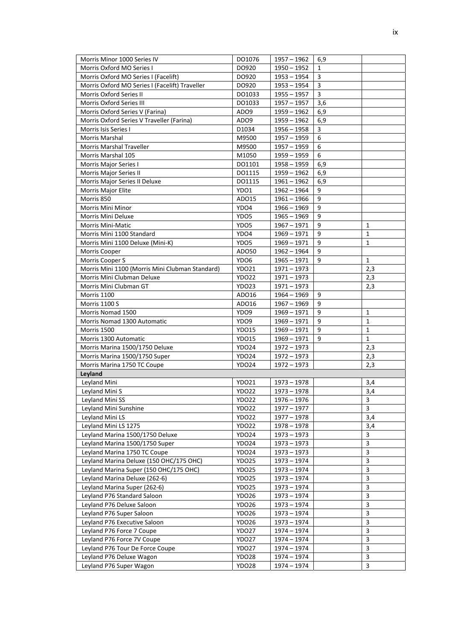| Morris Minor 1000 Series IV                     | DO1076            | $1957 - 1962$ | 6,9 |                |
|-------------------------------------------------|-------------------|---------------|-----|----------------|
| Morris Oxford MO Series I                       | DO920             | $1950 - 1952$ | 1   |                |
| Morris Oxford MO Series I (Facelift)            | DO920             | $1953 - 1954$ | 3   |                |
| Morris Oxford MO Series I (Facelift) Traveller  | DO920             | $1953 - 1954$ | 3   |                |
| Morris Oxford Series II                         | DO1033            | $1955 - 1957$ | 3   |                |
| Morris Oxford Series III                        | DO1033            | $1957 - 1957$ | 3,6 |                |
| Morris Oxford Series V (Farina)                 | ADO <sub>9</sub>  | $1959 - 1962$ | 6,9 |                |
| Morris Oxford Series V Traveller (Farina)       | ADO9              | $1959 - 1962$ | 6,9 |                |
| Morris Isis Series I                            | D1034             | $1956 - 1958$ | 3   |                |
| Morris Marshal                                  | M9500             | $1957 - 1959$ | 6   |                |
| Morris Marshal Traveller                        | M9500             | 1957 – 1959   | 6   |                |
| Morris Marshal 105                              | M1050             | $1959 - 1959$ | 6   |                |
| Morris Major Series I                           | DO1101            | $1958 - 1959$ | 6,9 |                |
| Morris Major Series II                          | DO1115            | $1959 - 1962$ | 6,9 |                |
| Morris Major Series II Deluxe                   | DO1115            | $1961 - 1962$ | 6,9 |                |
| Morris Major Elite                              | YDO1              | $1962 - 1964$ | 9   |                |
| Morris 850                                      | ADO15             | $1961 - 1966$ | 9   |                |
| <b>Morris Mini Minor</b>                        | YDO4              | $1966 - 1969$ | 9   |                |
| Morris Mini Deluxe                              | YDO <sub>5</sub>  | $1965 - 1969$ | 9   |                |
| <b>Morris Mini-Matic</b>                        | YDO5              | 1967 – 1971   | 9   | 1              |
| Morris Mini 1100 Standard                       | YDO4              | $1969 - 1971$ | 9   | 1              |
| Morris Mini 1100 Deluxe (Mini-K)                | YDO5              | $1969 - 1971$ | 9   | 1              |
| Morris Cooper                                   | AD050             | $1962 - 1964$ | 9   |                |
| Morris Cooper S                                 | YDO6              | $1965 - 1971$ | 9   | 1              |
| Morris Mini 1100 (Morris Mini Clubman Standard) | YDO21             | $1971 - 1973$ |     | 2,3            |
| Morris Mini Clubman Deluxe                      | YDO22             | $1971 - 1973$ |     | 2,3            |
| Morris Mini Clubman GT                          | YDO23             | $1971 - 1973$ |     | 2,3            |
| <b>Morris 1100</b>                              | ADO16             | $1964 - 1969$ | 9   |                |
| <b>Morris 1100 S</b>                            | ADO16             | $1967 - 1969$ | 9   |                |
| Morris Nomad 1500                               | YDO9              | $1969 - 1971$ | 9   | 1              |
| Morris Nomad 1300 Automatic                     | YDO9              | $1969 - 1971$ | 9   | 1              |
| Morris 1500                                     | YDO15             | $1969 - 1971$ | 9   | 1              |
| Morris 1300 Automatic                           | <b>YDO15</b>      | $1969 - 1971$ | 9   | $\mathbf{1}$   |
| Morris Marina 1500/1750 Deluxe                  | YDO24             | $1972 - 1973$ |     | 2,3            |
| Morris Marina 1500/1750 Super                   | YDO24             | 1972 - 1973   |     | 2,3            |
| Morris Marina 1750 TC Coupe                     | YDO24             | $1972 - 1973$ |     | 2,3            |
| Leyland                                         |                   |               |     |                |
| Leyland Mini                                    | YDO21             | $1973 - 1978$ |     | 3,4            |
| Leyland Mini S                                  | YDO22             | $1973 - 1978$ |     | 3,4            |
| Leyland Mini SS                                 | <b>YDO22</b>      | 1976 – 1976   |     | 3              |
| Leyland Mini Sunshine                           | <b>YDO22</b>      | $1977 - 1977$ |     | $\overline{3}$ |
| Leyland Mini LS                                 | <b>YDO22</b>      | $1977 - 1978$ |     | 3,4            |
| Leyland Mini LS 1275                            | <b>YDO22</b>      | 1978 – 1978   |     | 3,4            |
| Leyland Marina 1500/1750 Deluxe                 | YDO24             | 1973 - 1973   |     | 3              |
| Leyland Marina 1500/1750 Super                  | YDO24             | $1973 - 1973$ |     | 3              |
| Leyland Marina 1750 TC Coupe                    | YDO24             | 1973 – 1973   |     | 3              |
| Leyland Marina Deluxe (150 OHC/175 OHC)         | <b>YDO25</b>      | 1973 - 1974   |     | 3              |
| Leyland Marina Super (150 OHC/175 OHC)          | <b>YDO25</b>      | 1973 – 1974   |     | 3              |
| Leyland Marina Deluxe (262-6)                   | YDO <sub>25</sub> | 1973 – 1974   |     | 3              |
| Leyland Marina Super (262-6)                    | YDO <sub>25</sub> | $1973 - 1974$ |     | $\overline{3}$ |
| Leyland P76 Standard Saloon                     | <b>YDO26</b>      | 1973 - 1974   |     | 3              |
| Leyland P76 Deluxe Saloon                       | <b>YDO26</b>      | $1973 - 1974$ |     | 3              |
| Leyland P76 Super Saloon                        | <b>YDO26</b>      | $1973 - 1974$ |     | 3              |
| Leyland P76 Executive Saloon                    | <b>YDO26</b>      | 1973 – 1974   |     | 3              |
| Leyland P76 Force 7 Coupe                       | YDO27             | 1974 - 1974   |     | 3              |
| Leyland P76 Force 7V Coupe                      | YDO27             | $1974 - 1974$ |     | 3              |
| Leyland P76 Tour De Force Coupe                 | YDO27             | 1974 - 1974   |     | 3              |
| Leyland P76 Deluxe Wagon                        | <b>YDO28</b>      | 1974 - 1974   |     | 3              |
| Leyland P76 Super Wagon                         | <b>YDO28</b>      | $1974 - 1974$ |     | 3              |
|                                                 |                   |               |     |                |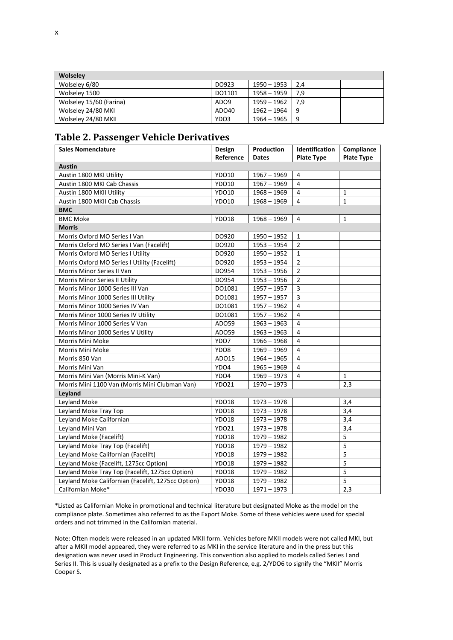| <b>Wolseley</b>         |                  |             |       |  |
|-------------------------|------------------|-------------|-------|--|
| Wolseley 6/80           | DO923            | 1950 – 1953 | -2.4  |  |
| Wolseley 1500           | DO1101           | 1958 – 1959 | 7.9   |  |
| Wolseley 15/60 (Farina) | ADO <sub>9</sub> | 1959 – 1962 | . 7.9 |  |
| Wolseley 24/80 MKI      | ADO40            | 1962 – 1964 | 9     |  |
| Wolseley 24/80 MKII     | YDO3             | 1964 – 1965 | 9     |  |

### **Table 2. Passenger Vehicle Derivatives**

| <b>Sales Nomenclature</b>                          | Design       | Production    | Identification          | Compliance        |
|----------------------------------------------------|--------------|---------------|-------------------------|-------------------|
|                                                    | Reference    | Dates         | <b>Plate Type</b>       | <b>Plate Type</b> |
| <b>Austin</b>                                      |              |               |                         |                   |
| Austin 1800 MKI Utility                            | <b>YDO10</b> | $1967 - 1969$ | 4                       |                   |
| Austin 1800 MKI Cab Chassis                        | YDO10        | $1967 - 1969$ | $\overline{4}$          |                   |
| Austin 1800 MKII Utility                           | YDO10        | $1968 - 1969$ | 4                       | 1                 |
| Austin 1800 MKII Cab Chassis                       | YDO10        | $1968 - 1969$ | 4                       | $\mathbf{1}$      |
| <b>BMC</b>                                         |              |               |                         |                   |
| <b>BMC Moke</b>                                    | YDO18        | $1968 - 1969$ | 4                       | $\mathbf{1}$      |
| <b>Morris</b>                                      |              |               |                         |                   |
| Morris Oxford MO Series I Van                      | DO920        | $1950 - 1952$ | 1                       |                   |
| Morris Oxford MO Series I Van (Facelift)           | DO920        | $1953 - 1954$ | $\overline{2}$          |                   |
| Morris Oxford MO Series I Utility                  | DO920        | $1950 - 1952$ | $\mathbf{1}$            |                   |
| Morris Oxford MO Series I Utility (Facelift)       | DO920        | $1953 - 1954$ | $\overline{2}$          |                   |
| Morris Minor Series II Van                         | DO954        | $1953 - 1956$ | $\overline{2}$          |                   |
| Morris Minor Series II Utility                     | DO954        | $1953 - 1956$ | $\overline{2}$          |                   |
| Morris Minor 1000 Series III Van                   | DO1081       | $1957 - 1957$ | $\overline{\mathbf{3}}$ |                   |
| Morris Minor 1000 Series III Utility               | DO1081       | $1957 - 1957$ | $\mathsf{3}$            |                   |
| Morris Minor 1000 Series IV Van                    | DO1081       | $1957 - 1962$ | 4                       |                   |
| Morris Minor 1000 Series IV Utility                | DO1081       | $1957 - 1962$ | 4                       |                   |
| Morris Minor 1000 Series V Van                     | ADO59        | $1963 - 1963$ | 4                       |                   |
| Morris Minor 1000 Series V Utility                 | ADO59        | $1963 - 1963$ | 4                       |                   |
| Morris Mini Moke                                   | YDO7         | $1966 - 1968$ | 4                       |                   |
| Morris Mini Moke                                   | YDO8         | $1969 - 1969$ | 4                       |                   |
| Morris 850 Van                                     | ADO15        | $1964 - 1965$ | 4                       |                   |
| Morris Mini Van                                    | YDO4         | $1965 - 1969$ | 4                       |                   |
| Morris Mini Van (Morris Mini-K Van)                | YDO4         | $1969 - 1973$ | 4                       | $\mathbf{1}$      |
| Morris Mini 1100 Van (Morris Mini Clubman Van)     | <b>YDO21</b> | $1970 - 1973$ |                         | 2,3               |
| Leyland                                            |              |               |                         |                   |
| Leyland Moke                                       | <b>YDO18</b> | $1973 - 1978$ |                         | 3.4               |
| Leyland Moke Tray Top                              | YDO18        | $1973 - 1978$ |                         | 3,4               |
| Leyland Moke Californian                           | <b>YDO18</b> | $1973 - 1978$ |                         | 3,4               |
| Leyland Mini Van                                   | YDO21        | $1973 - 1978$ |                         | 3,4               |
| Leyland Moke (Facelift)                            | <b>YDO18</b> | $1979 - 1982$ |                         | 5                 |
| Leyland Moke Tray Top (Facelift)                   | <b>YDO18</b> | $1979 - 1982$ |                         | 5                 |
| Leyland Moke Californian (Facelift)                | YDO18        | $1979 - 1982$ |                         | 5                 |
| Leyland Moke (Facelift, 1275cc Option)             | YDO18        | $1979 - 1982$ |                         | 5                 |
| Leyland Moke Tray Top (Facelift, 1275cc Option)    | YDO18        | $1979 - 1982$ |                         | $\overline{5}$    |
| Leyland Moke Californian (Facelift, 1275cc Option) | <b>YDO18</b> | $1979 - 1982$ |                         | 5                 |
| Californian Moke*                                  | <b>YDO30</b> | $1971 - 1973$ |                         | 2,3               |

\*Listed as Californian Moke in promotional and technical literature but designated Moke as the model on the compliance plate. Sometimes also referred to as the Export Moke. Some of these vehicles were used for special orders and not trimmed in the Californian material.

Note: Often models were released in an updated MKII form. Vehicles before MKII models were not called MKI, but after a MKII model appeared, they were referred to as MKI in the service literature and in the press but this designation was never used in Product Engineering. This convention also applied to models called Series I and Series II. This is usually designated as a prefix to the Design Reference, e.g. 2/YDO6 to signify the "MKII" Morris Cooper S.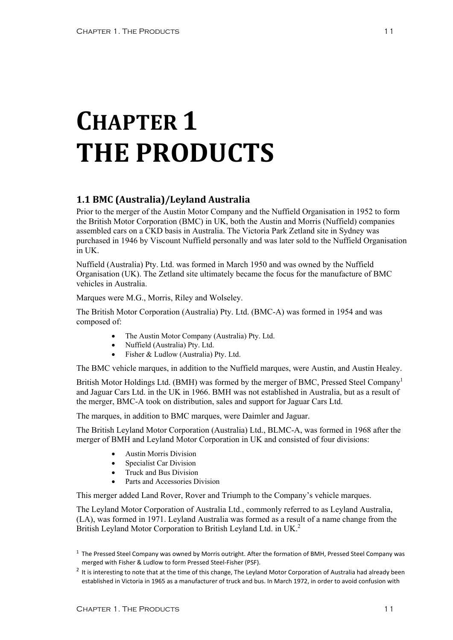# **CHAPTER 1 THE PRODUCTS**

### **1.1 BMC (Australia)/Leyland Australia**

Prior to the merger of the Austin Motor Company and the Nuffield Organisation in 1952 to form the British Motor Corporation (BMC) in UK, both the Austin and Morris (Nuffield) companies assembled cars on a CKD basis in Australia. The Victoria Park Zetland site in Sydney was purchased in 1946 by Viscount Nuffield personally and was later sold to the Nuffield Organisation in UK.

Nuffield (Australia) Pty. Ltd. was formed in March 1950 and was owned by the Nuffield Organisation (UK). The Zetland site ultimately became the focus for the manufacture of BMC vehicles in Australia.

Marques were M.G., Morris, Riley and Wolseley.

The British Motor Corporation (Australia) Pty. Ltd. (BMC-A) was formed in 1954 and was composed of:

- The Austin Motor Company (Australia) Pty. Ltd.
- Nuffield (Australia) Pty. Ltd.
- Fisher & Ludlow (Australia) Ptv. Ltd.

The BMC vehicle marques, in addition to the Nuffield marques, were Austin, and Austin Healey.

British Motor Holdings Ltd. (BMH) was formed by the merger of BMC, Pressed Steel Company<sup>1</sup> and Jaguar Cars Ltd. in the UK in 1966. BMH was not established in Australia, but as a result of the merger, BMC-A took on distribution, sales and support for Jaguar Cars Ltd.

The marques, in addition to BMC marques, were Daimler and Jaguar.

The British Leyland Motor Corporation (Australia) Ltd., BLMC-A, was formed in 1968 after the merger of BMH and Leyland Motor Corporation in UK and consisted of four divisions:

- Austin Morris Division
- Specialist Car Division
- Truck and Bus Division
- Parts and Accessories Division

This merger added Land Rover, Rover and Triumph to the Company's vehicle marques.

The Leyland Motor Corporation of Australia Ltd., commonly referred to as Leyland Australia, (LA), was formed in 1971. Leyland Australia was formed as a result of a name change from the British Leyland Motor Corporation to British Leyland Ltd. in UK.<sup>2</sup>

 $<sup>1</sup>$  The Pressed Steel Company was owned by Morris outright. After the formation of BMH, Pressed Steel Company was</sup> merged with Fisher & Ludlow to form Pressed Steel‐Fisher (PSF).

 $2$  It is interesting to note that at the time of this change, The Leyland Motor Corporation of Australia had already been established in Victoria in 1965 as a manufacturer of truck and bus. In March 1972, in order to avoid confusion with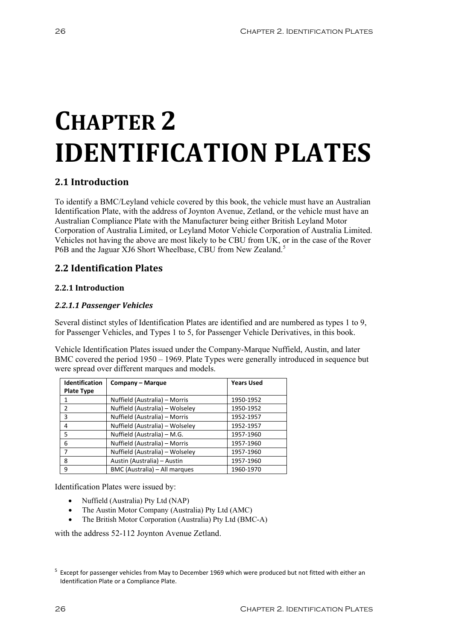# **CHAPTER 2 IDENTIFICATION PLATES**

### **2.1 Introduction**

To identify a BMC/Leyland vehicle covered by this book, the vehicle must have an Australian Identification Plate, with the address of Joynton Avenue, Zetland, or the vehicle must have an Australian Compliance Plate with the Manufacturer being either British Leyland Motor Corporation of Australia Limited, or Leyland Motor Vehicle Corporation of Australia Limited. Vehicles not having the above are most likely to be CBU from UK, or in the case of the Rover P6B and the Jaguar XJ6 Short Wheelbase, CBU from New Zealand.<sup>5</sup>

### **2.2 Identification Plates**

#### **2.2.1 Introduction**

#### *2.2.1.1 Passenger Vehicles*

Several distinct styles of Identification Plates are identified and are numbered as types 1 to 9, for Passenger Vehicles, and Types 1 to 5, for Passenger Vehicle Derivatives, in this book.

Vehicle Identification Plates issued under the Company-Marque Nuffield, Austin, and later BMC covered the period 1950 – 1969. Plate Types were generally introduced in sequence but were spread over different marques and models.

| <b>Identification</b> | Company - Marque                | <b>Years Used</b> |
|-----------------------|---------------------------------|-------------------|
| <b>Plate Type</b>     |                                 |                   |
|                       | Nuffield (Australia) - Morris   | 1950-1952         |
| $\mathcal{P}$         | Nuffield (Australia) - Wolseley | 1950-1952         |
| 3                     | Nuffield (Australia) - Morris   | 1952-1957         |
| 4                     | Nuffield (Australia) - Wolseley | 1952-1957         |
| 5                     | Nuffield (Australia) – M.G.     | 1957-1960         |
| 6                     | Nuffield (Australia) - Morris   | 1957-1960         |
|                       | Nuffield (Australia) - Wolseley | 1957-1960         |
| 8                     | Austin (Australia) - Austin     | 1957-1960         |
| 9                     | BMC (Australia) - All marques   | 1960-1970         |

Identification Plates were issued by:

- Nuffield (Australia) Pty Ltd (NAP)
- The Austin Motor Company (Australia) Pty Ltd (AMC)
- The British Motor Corporation (Australia) Pty Ltd (BMC-A)

with the address 52-112 Joynton Avenue Zetland.

<sup>&</sup>lt;sup>5</sup> Except for passenger vehicles from May to December 1969 which were produced but not fitted with either an Identification Plate or a Compliance Plate.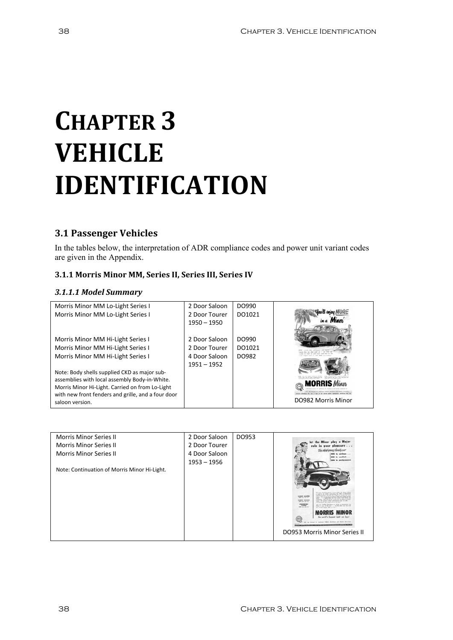# **CHAPTER 3 VEHICLE IDENTIFICATION**

### **3.1 Passenger Vehicles**

In the tables below, the interpretation of ADR compliance codes and power unit variant codes are given in the Appendix.

#### **3.1.1 Morris Minor MM, Series II, Series III, Series IV**

#### *3.1.1.1 Model Summary*

| Morris Minor MM Lo-Light Series I                  | 2 Door Saloon | DO990  |                    |
|----------------------------------------------------|---------------|--------|--------------------|
| Morris Minor MM Lo-Light Series I                  | 2 Door Tourer | DO1021 |                    |
|                                                    | $1950 - 1950$ |        |                    |
|                                                    |               |        |                    |
| Morris Minor MM Hi-Light Series I                  | 2 Door Saloon | DO990  |                    |
| Morris Minor MM Hi-Light Series I                  | 2 Door Tourer | DO1021 |                    |
| Morris Minor MM Hi-Light Series I                  | 4 Door Saloon | DO982  |                    |
|                                                    | $1951 - 1952$ |        |                    |
| Note: Body shells supplied CKD as major sub-       |               |        |                    |
| assemblies with local assembly Body-in-White.      |               |        |                    |
| Morris Minor Hi-Light. Carried on from Lo-Light    |               |        |                    |
| with new front fenders and grille, and a four door |               |        | DO982 Morris Minor |
| saloon version.                                    |               |        |                    |

| <b>Morris Minor Series II</b>                | 2 Door Saloon | DO953 |                                                                                                                                                                                      |
|----------------------------------------------|---------------|-------|--------------------------------------------------------------------------------------------------------------------------------------------------------------------------------------|
| <b>Morris Minor Series II</b>                | 2 Door Tourer |       | play a Major<br>pleasure                                                                                                                                                             |
| <b>Morris Minor Series II</b>                | 4 Door Saloon |       | comfort                                                                                                                                                                              |
|                                              | $1953 - 1956$ |       | <b>BIG</b> in performanc                                                                                                                                                             |
| Note: Continuation of Morris Minor Hi-Light. |               |       |                                                                                                                                                                                      |
|                                              |               |       |                                                                                                                                                                                      |
|                                              |               |       |                                                                                                                                                                                      |
|                                              |               |       | <b>EDOOR SALDON</b><br>ABOOK ENLOOK<br>sales will appeal a finally performance-state in inally<br>\$700 later rates for?<br>maning specials that simply and up the such              |
|                                              |               |       | CONVENTIBLE<br>your bushed Deschause or Dealer to deposition the<br><b>TOURIST</b><br>Mission for some, one that record his home above some when it is<br><b>Bald July 1974 Told</b> |
|                                              |               |       | <b>MORRIS MINOR</b><br>the world's biggest light car buy!                                                                                                                            |
|                                              |               |       |                                                                                                                                                                                      |
|                                              |               |       | <b>DO953 Morris Minor Series II</b>                                                                                                                                                  |
|                                              |               |       |                                                                                                                                                                                      |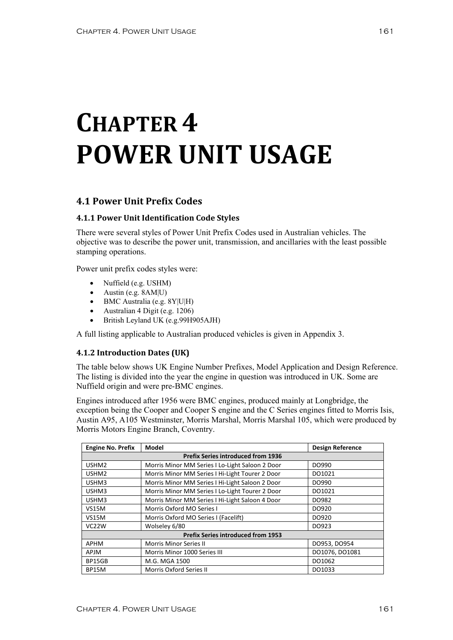# **CHAPTER 4 POWER UNIT USAGE**

### **4.1 Power Unit Prefix Codes**

#### **4.1.1 Power Unit Identification Code Styles**

There were several styles of Power Unit Prefix Codes used in Australian vehicles. The objective was to describe the power unit, transmission, and ancillaries with the least possible stamping operations.

Power unit prefix codes styles were:

- Nuffield (e.g. USHM)
- Austin (e.g. 8AM|U)
- BMC Australia (e.g. 8Y|U|H)
- Australian 4 Digit (e.g. 1206)
- British Leyland UK (e.g.99H905AJH)

A full listing applicable to Australian produced vehicles is given in Appendix 3.

#### **4.1.2 Introduction Dates (UK)**

The table below shows UK Engine Number Prefixes, Model Application and Design Reference. The listing is divided into the year the engine in question was introduced in UK. Some are Nuffield origin and were pre-BMC engines.

Engines introduced after 1956 were BMC engines, produced mainly at Longbridge, the exception being the Cooper and Cooper S engine and the C Series engines fitted to Morris Isis, Austin A95, A105 Westminster, Morris Marshal, Morris Marshal 105, which were produced by Morris Motors Engine Branch, Coventry.

| <b>Engine No. Prefix</b> | Model                                           | <b>Design Reference</b> |  |  |
|--------------------------|-------------------------------------------------|-------------------------|--|--|
|                          | <b>Prefix Series introduced from 1936</b>       |                         |  |  |
| USHM <sub>2</sub>        | Morris Minor MM Series I Lo-Light Saloon 2 Door | DO990                   |  |  |
| USHM <sub>2</sub>        | Morris Minor MM Series I Hi-Light Tourer 2 Door | DO1021                  |  |  |
| USHM3                    | Morris Minor MM Series I Hi-Light Saloon 2 Door | DO990                   |  |  |
| USHM3                    | Morris Minor MM Series I Lo-Light Tourer 2 Door | DO1021                  |  |  |
| USHM3                    | Morris Minor MM Series I Hi-Light Saloon 4 Door | DO982                   |  |  |
| <b>VS15M</b>             | Morris Oxford MO Series I                       | DO920                   |  |  |
| <b>VS15M</b>             | Morris Oxford MO Series I (Facelift)            | DO920                   |  |  |
| VC <sub>2</sub> 2W       | Wolseley 6/80                                   | DO923                   |  |  |
|                          | <b>Prefix Series introduced from 1953</b>       |                         |  |  |
| APHM                     | Morris Minor Series II                          | DO953, DO954            |  |  |
| APJM                     | Morris Minor 1000 Series III                    | DO1076, DO1081          |  |  |
| BP15GB                   | M.G. MGA 1500                                   | DO1062                  |  |  |
| BP15M                    | <b>Morris Oxford Series II</b>                  | DO1033                  |  |  |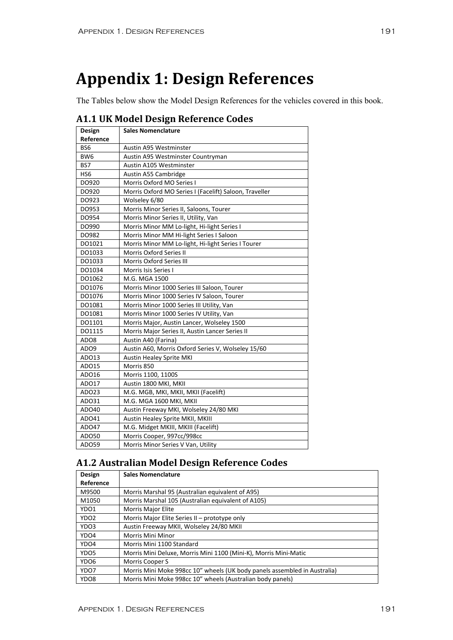## **Appendix 1: Design References**

The Tables below show the Model Design References for the vehicles covered in this book.

| Design          | <b>Sales Nomenclature</b>                              |
|-----------------|--------------------------------------------------------|
| Reference       |                                                        |
| BS6             | Austin A95 Westminster                                 |
| BW <sub>6</sub> | Austin A95 Westminster Countryman                      |
| BS7             | Austin A105 Westminster                                |
| HS <sub>6</sub> | Austin A55 Cambridge                                   |
| DO920           | Morris Oxford MO Series I                              |
| DO920           | Morris Oxford MO Series I (Facelift) Saloon, Traveller |
| DO923           | Wolseley 6/80                                          |
| DO953           | Morris Minor Series II, Saloons, Tourer                |
| DO954           | Morris Minor Series II, Utility, Van                   |
| DO990           | Morris Minor MM Lo-light, Hi-light Series I            |
| DO982           | Morris Minor MM Hi-light Series I Saloon               |
| DO1021          | Morris Minor MM Lo-light, Hi-light Series I Tourer     |
| DO1033          | <b>Morris Oxford Series II</b>                         |
| DO1033          | <b>Morris Oxford Series III</b>                        |
| DO1034          | Morris Isis Series I                                   |
| DO1062          | M.G. MGA 1500                                          |
| DO1076          | Morris Minor 1000 Series III Saloon, Tourer            |
| DO1076          | Morris Minor 1000 Series IV Saloon, Tourer             |
| DO1081          | Morris Minor 1000 Series III Utility, Van              |
| DO1081          | Morris Minor 1000 Series IV Utility, Van               |
| DO1101          | Morris Major, Austin Lancer, Wolseley 1500             |
| DO1115          | Morris Major Series II, Austin Lancer Series II        |
| ADO8            | Austin A40 (Farina)                                    |
| ADO9            | Austin A60, Morris Oxford Series V, Wolseley 15/60     |
| ADO13           | <b>Austin Healey Sprite MKI</b>                        |
| ADO15           | Morris 850                                             |
| ADO16           | Morris 1100, 1100S                                     |
| ADO17           | Austin 1800 MKI, MKII                                  |
| ADO23           | M.G. MGB, MKI, MKII, MKII (Facelift)                   |
| AD031           | M.G. MGA 1600 MKI, MKII                                |
| ADO40           | Austin Freeway MKI, Wolseley 24/80 MKI                 |
| ADO41           | Austin Healey Sprite MKII, MKIII                       |
| ADO47           | M.G. Midget MKIII, MKIII (Facelift)                    |
| AD050           | Morris Cooper, 997cc/998cc                             |
| ADO59           | Morris Minor Series V Van, Utility                     |

#### **A1.1 UK Model Design Reference Codes**

## **A1.2 Australian Model Design Reference Codes**

| Design           | <b>Sales Nomenclature</b>                                                 |  |  |
|------------------|---------------------------------------------------------------------------|--|--|
| Reference        |                                                                           |  |  |
| M9500            | Morris Marshal 95 (Australian equivalent of A95)                          |  |  |
| M1050            | Morris Marshal 105 (Australian equivalent of A105)                        |  |  |
| YDO1             | <b>Morris Major Elite</b>                                                 |  |  |
| YDO <sub>2</sub> | Morris Major Elite Series II - prototype only                             |  |  |
| YDO3             | Austin Freeway MKII, Wolseley 24/80 MKII                                  |  |  |
| YDO4             | Morris Mini Minor                                                         |  |  |
| YDO4             | Morris Mini 1100 Standard                                                 |  |  |
| YDO <sub>5</sub> | Morris Mini Deluxe, Morris Mini 1100 (Mini-K), Morris Mini-Matic          |  |  |
| YDO6             | Morris Cooper S                                                           |  |  |
| YDO7             | Morris Mini Moke 998cc 10" wheels (UK body panels assembled in Australia) |  |  |
| YDO <sub>8</sub> | Morris Mini Moke 998cc 10" wheels (Australian body panels)                |  |  |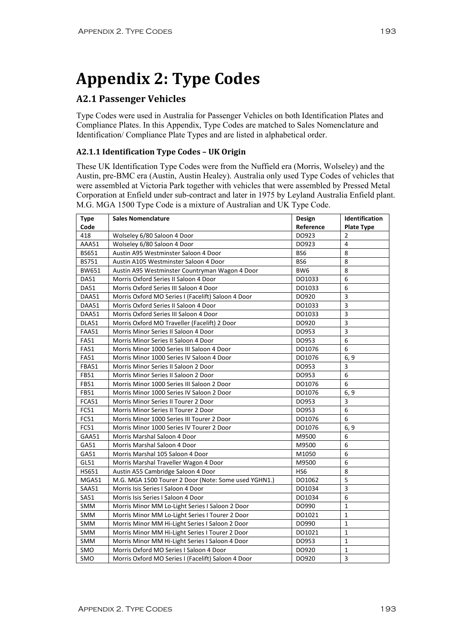# **Appendix 2: Type Codes**

### **A2.1 Passenger Vehicles**

Type Codes were used in Australia for Passenger Vehicles on both Identification Plates and Compliance Plates. In this Appendix, Type Codes are matched to Sales Nomenclature and Identification/ Compliance Plate Types and are listed in alphabetical order.

#### **A2.1.1 Identification Type Codes – UK Origin**

These UK Identification Type Codes were from the Nuffield era (Morris, Wolseley) and the Austin, pre-BMC era (Austin, Austin Healey). Australia only used Type Codes of vehicles that were assembled at Victoria Park together with vehicles that were assembled by Pressed Metal Corporation at Enfield under sub-contract and later in 1975 by Leyland Australia Enfield plant. M.G. MGA 1500 Type Code is a mixture of Australian and UK Type Code.

| <b>Type</b>  | <b>Sales Nomenclature</b>                            | Design    | <b>Identification</b>   |
|--------------|------------------------------------------------------|-----------|-------------------------|
| Code         |                                                      | Reference | <b>Plate Type</b>       |
| 418          | Wolseley 6/80 Saloon 4 Door                          | DO923     | 2                       |
| AAA51        | Wolseley 6/80 Saloon 4 Door                          | DO923     | 4                       |
| BS651        | Austin A95 Westminster Saloon 4 Door                 | BS6       | 8                       |
| <b>BS751</b> | Austin A105 Westminster Saloon 4 Door                | BS6       | 8                       |
| BW651        | Austin A95 Westminster Countryman Wagon 4 Door       | BW6       | 8                       |
| <b>DA51</b>  | Morris Oxford Series II Saloon 4 Door                | DO1033    | 6                       |
| <b>DA51</b>  | Morris Oxford Series III Saloon 4 Door               | DO1033    | 6                       |
| DAA51        | Morris Oxford MO Series I (Facelift) Saloon 4 Door   | DO920     | 3                       |
| DAA51        | Morris Oxford Series II Saloon 4 Door                | DO1033    | 3                       |
| DAA51        | Morris Oxford Series III Saloon 4 Door               | DO1033    | $\overline{\mathbf{3}}$ |
| DLA51        | Morris Oxford MO Traveller (Facelift) 2 Door         | DO920     | $\overline{\mathbf{3}}$ |
| <b>FAA51</b> | Morris Minor Series II Saloon 4 Door                 | DO953     | 3                       |
| <b>FA51</b>  | Morris Minor Series II Saloon 4 Door                 | DO953     | 6                       |
| <b>FA51</b>  | Morris Minor 1000 Series III Saloon 4 Door           | DO1076    | 6                       |
| <b>FA51</b>  | Morris Minor 1000 Series IV Saloon 4 Door            | DO1076    | 6, 9                    |
| <b>FBA51</b> | Morris Minor Series II Saloon 2 Door                 | DO953     | 3                       |
| FB51         | Morris Minor Series II Saloon 2 Door                 | DO953     | 6                       |
| FB51         | Morris Minor 1000 Series III Saloon 2 Door           | DO1076    | 6                       |
| FB51         | Morris Minor 1000 Series IV Saloon 2 Door            | DO1076    | 6, 9                    |
| FCA51        | Morris Minor Series II Tourer 2 Door                 | DO953     | 3                       |
| FC51         | Morris Minor Series II Tourer 2 Door                 | DO953     | 6                       |
| FC51         | Morris Minor 1000 Series III Tourer 2 Door           | DO1076    | 6                       |
| <b>FC51</b>  | Morris Minor 1000 Series IV Tourer 2 Door            | DO1076    | 6, 9                    |
| GAA51        | Morris Marshal Saloon 4 Door                         | M9500     | 6                       |
| GA51         | Morris Marshal Saloon 4 Door                         | M9500     | 6                       |
| GA51         | Morris Marshal 105 Saloon 4 Door                     | M1050     | 6                       |
| GL51         | Morris Marshal Traveller Wagon 4 Door                | M9500     | 6                       |
| HS651        | Austin A55 Cambridge Saloon 4 Door                   | HS6       | 8                       |
| MGA51        | M.G. MGA 1500 Tourer 2 Door (Note: Some used YGHN1.) | DO1062    | 5                       |
| SAA51        | Morris Isis Series I Saloon 4 Door                   | DO1034    | $\mathsf 3$             |
| SA51         | Morris Isis Series I Saloon 4 Door                   | DO1034    | 6                       |
| SMM          | Morris Minor MM Lo-Light Series I Saloon 2 Door      | DO990     | $\mathbf{1}$            |
| <b>SMM</b>   | Morris Minor MM Lo-Light Series I Tourer 2 Door      | DO1021    | $\mathbf{1}$            |
| SMM          | Morris Minor MM Hi-Light Series I Saloon 2 Door      | DO990     | $\mathbf{1}$            |
| SMM          | Morris Minor MM Hi-Light Series I Tourer 2 Door      | DO1021    | 1                       |
| SMM          | Morris Minor MM Hi-Light Series I Saloon 4 Door      | DO953     | $\mathbf{1}$            |
| SMO          | Morris Oxford MO Series I Saloon 4 Door              | DO920     | $\mathbf{1}$            |
| SMO          | Morris Oxford MO Series I (Facelift) Saloon 4 Door   | DO920     | $\overline{3}$          |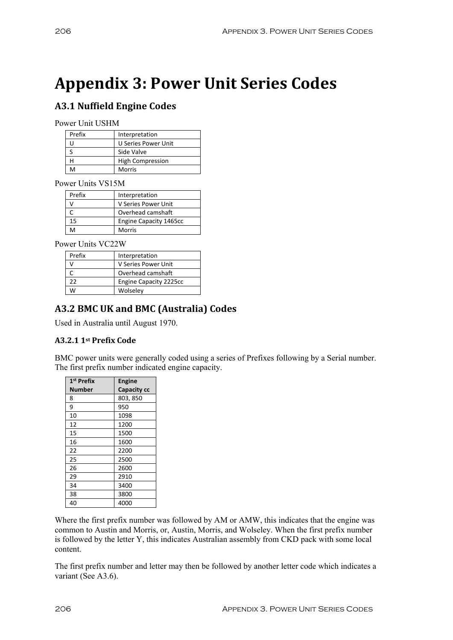# **Appendix 3: Power Unit Series Codes**

## **A3.1 Nuffield Engine Codes**

Power Unit USHM

| Prefix | Interpretation          |
|--------|-------------------------|
|        | U Series Power Unit     |
|        | Side Valve              |
|        | <b>High Compression</b> |
|        | Morris                  |

Power Units VS15M

| Prefix | Interpretation                |
|--------|-------------------------------|
|        | V Series Power Unit           |
|        | Overhead camshaft             |
| 15     | <b>Engine Capacity 1465cc</b> |
| ٨Л     | Morris                        |

Power Units VC22W

| Prefix | Interpretation                |
|--------|-------------------------------|
|        | V Series Power Unit           |
|        | Overhead camshaft             |
| 22     | <b>Engine Capacity 2225cc</b> |
| M      | Wolseley                      |

### **A3.2 BMC UK and BMC (Australia) Codes**

Used in Australia until August 1970.

#### **A3.2.1 1st Prefix Code**

BMC power units were generally coded using a series of Prefixes following by a Serial number. The first prefix number indicated engine capacity.

| 1 <sup>st</sup> Prefix | <b>Engine</b> |
|------------------------|---------------|
| Number                 | Capacity cc   |
| 8                      | 803, 850      |
| 9                      | 950           |
| 10                     | 1098          |
| 12                     | 1200          |
| 15                     | 1500          |
| 16                     | 1600          |
| 22                     | 2200          |
| 25                     | 2500          |
| 26                     | 2600          |
| 29                     | 2910          |
| 34                     | 3400          |
| 38                     | 3800          |
| 40                     | 4000          |

Where the first prefix number was followed by AM or AMW, this indicates that the engine was common to Austin and Morris, or, Austin, Morris, and Wolseley. When the first prefix number is followed by the letter Y, this indicates Australian assembly from CKD pack with some local content.

The first prefix number and letter may then be followed by another letter code which indicates a variant (See A3.6).